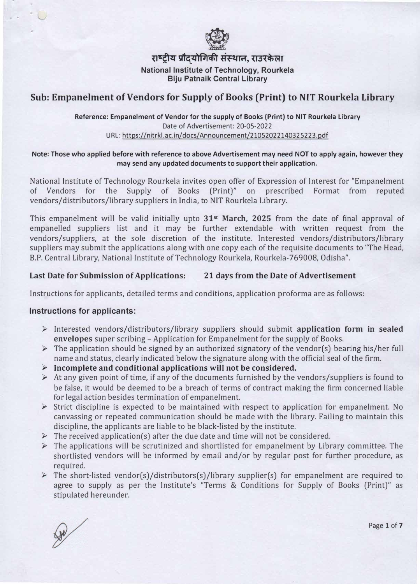

**{i<sup>6</sup>tl�** ... **iJta<flf71ifi'I �' {13.(�iit I**  ..

**National Institute of Technology, Rourkela Biju Patnaik Central Library** 

## **Sub: Empanelment of Vendors for Supply of Books (Print) to NIT Rourkela Library**

**Reference: Empanelment of Vendor for the supply of Books (Print) to NIT Rourkela Library**  Date of Advertisement: 20-05-2022 URL: https://nitrkl.ac.in/docs/Announcement/21052022140325223.pdf

#### **Note: Those who applied before with reference to above Advertisement may need NOT to apply again, however they may send any updated documents to support their application.**

National Institute of Technology Rourkela invites open offer of Expression of Interest for "Empanelment" of Vendors for the Supply of Books (Print)" on prescribed Format from reputed vendors/distributors/library suppliers in India, to NIT Rourkela Library.

This empanelment will be valid initially upto **31st March, 2025** from the date of final approval of empanelled suppliers list and it may be further extendable with written request from the vendors/suppliers, at the sole discretion of the institute. Interested vendors/distributors/library suppliers may submit the applications along with one copy each of the requisite documents to "The Head, B.P. Central Library, National Institute of Technology Rourkela, Rourkela-769008, Odisha".

## **Last Date for Submission of Applications: 21 days from the Date of Advertisement**

Instructions for applicants, detailed terms and conditions, application proforma are as follows:

## **Instructions for applicants:**

- };;> Interested vendors/distributors/library suppliers should submit **application form in sealed envelopes** super scribing - Application for Empanelment for the supply of Books.
- $\triangleright$  The application should be signed by an authorized signatory of the vendor(s) bearing his/her full name and status, clearly indicated below the signature along with the official seal of the firm.
- };;> **Incomplete and conditional applications will not be considered.**
- $\triangleright$  At any given point of time, if any of the documents furnished by the vendors/suppliers is found to be false, it would be deemed to be a breach of terms of contract making the firm concerned liable for legal action besides termination of empanelment.
- $\triangleright$  Strict discipline is expected to be maintained with respect to application for empanelment. No canvassing or repeated communication should be made with the library. Failing to maintain this discipline, the applicants are liable to be black-listed by the institute.
- $\triangleright$  The received application(s) after the due date and time will not be considered.
- $\triangleright$  The applications will be scrutinized and shortlisted for empanelment by Library committee. The shortlisted vendors will be informed by email and/or by regular post for further procedure, as required.
- $\triangleright$  The short-listed vendor(s)/distributors(s)/library supplier(s) for empanelment are required to agree to supply as per the Institute's "Terms & Conditions for Supply of Books (Print)" as stipulated hereunder.

Page **1 of 7**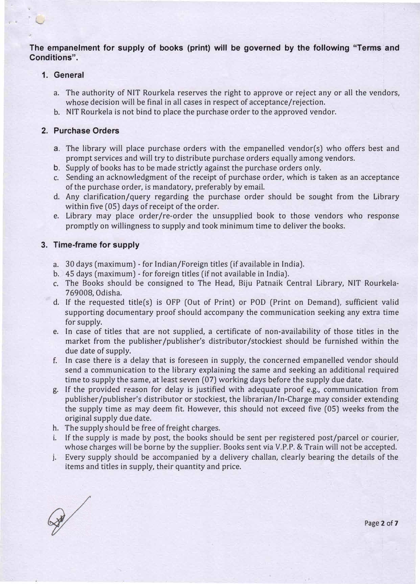**The empanelment for supply of books (print) will be governed by the following "Terms and Conditions".** 

## **1. General**

- a. The authority of NIT Rourkela reserves the right to approve or reject any or all the vendors, whose decision will be final in all cases in respect of acceptance/rejection.
- b. NIT Rourkela is not bind to place the purchase order to the approved vendor.

#### **2. Purchase Orders**

- a. The library will place purchase orders with the empanelled vendor(s) who offers best and prompt services and will try to distribute purchase orders equally among vendors.
- b. Supply of books has to be made strictly against the purchase orders only.
- c. Sending an acknowledgment of the receipt of purchase order, which is taken as an acceptance of the purchase order, is mandatory, preferably by email.
- d. Any clarification/query regarding the purchase order should be sought from the Library within five (05) days of receipt of the order.
- e. Library may place order/re-order the unsupplied book to those vendors who response promptly on willingness to supply and took minimum time to deliver the books.

#### **3. Time-frame for supply**

- a. 30 days (maximum) for Indian/Foreign titles (if available in India).
- b. 45 days (maximum) for foreign titles (if not available in India).
- c. The Books should be consigned to The Head, Biju Patnaik Central Library, NIT Rourkela-769008, Odisha.
- d. If the requested title(s) is OFP (Out of Print) or POD (Print on Demand), sufficient valid supporting documentary proof should accompany the communication seeking any extra time for supply.
- e. In case of titles that are not supplied, a certificate of non-availability of those titles in the market from the publisher /publisher's distributor /stockiest should be furnished within the due date of supply.
- f. In case there is a delay that is foreseen in supply, the concerned empanelled vendor should send a communication to the library explaining the same and seeking an additional required time to supply the same, at least seven (07) working days before the supply due date.
- g. If the provided reason for delay is justified with adequate proof e.g., communication from publisher /publisher's distributor or stockiest, the librarian/In-Charge may consider extending the supply time as may deem fit. However, this should not exceed five (05) weeks from the original supply due date.
- h. The supply should be free of freight charges.
- i. If the supply is made by post, the books should be sent per registered post/parcel or courier, whose charges will be borne by the supplier. Books sent via *V.P.P.* & Train will not be accepted.
- j. Every supply should be accompanied by a delivery challan, clearly bearing the details of the items and titles in supply, their quantity and price.

 $\mathscr{D}$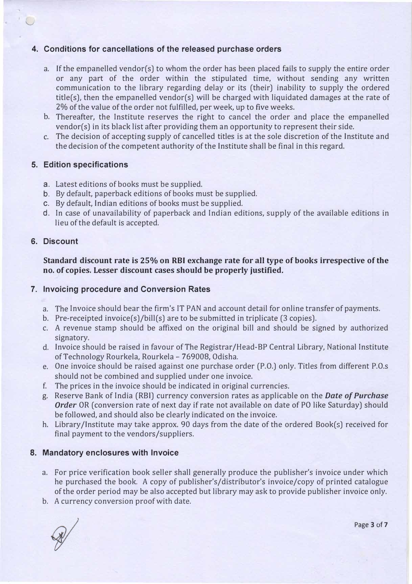## **4. Conditions for cancellations of the released purchase orders**

- a. If the empanelled vendor(s) to whom the order has been placed fails to supply the entire order or any part of the order within the stipulated time, without sending any written communication to the library regarding delay or its (their) inability to supply the ordered title(s), then the empanelled vendor(s) will be charged with liquidated damages at the rate of 2% of the value of the order not fulfilled, per week, up to five weeks.
- b. Thereafter, the Institute reserves the right to cancel the order and place the empanelled vendor(s) in its black list after providing them an opportunity to represent their side.
- c. The decision of accepting supply of cancelled titles is at the sole discretion of the Institute and the decision of the competent authority of the Institute shall be final in this regard.

#### **5. Edition specifications**

- a. Latest editions of books must be supplied.
- b. By default, paperback editions of books must be supplied.
- c. By default, Indian editions of books must be supplied.
- d. In case of unavailability of paperback and Indian editions, supply of the available editions in lieu of the default is accepted.

## **6. Discount**

u

**Standard discount rate is 25% on RBI exchange rate for all type of books irrespective of the no. of copies. Lesser discount cases should be properly justified.**

## **7. Invoicing procedure and Conversion Rates**

- a. The Invoice should bear the firm's IT PAN and account detail for online transfer of payments.
- b. Pre-receipted invoice(s)/bill(s) are to be submitted in triplicate (3 copies).
- c. A *revenue* stamp should be affixed on the original bill and should be signed by authorized signatory.
- d. Invoice should be raised in *favour* of The Registrar/Head-BP Central Library, National Institute of Technology Rourkela, Rourkela - 769008, Odisha.
- e. One invoice should be raised against one purchase order (P.O.) only. Titles from different P.O.s should not be combined and supplied under one invoice.
- f. The prices in the invoice should be indicated in original currencies.
- g. Reserve Bank of India (RBI) currency conversion rates as applicable on the *Date of Purchase Order* OR (conversion rate of next day if rate not available on date of PO like Saturday) should be followed, and should also be clearly indicated on the invoice.
- h. Library /Institute may take approx. 90 days from the date of the ordered Book(s) received for final payment to the vendors/suppliers.

## **8. Mandatory enclosures with Invoice**

- a. For price verification book seller shall generally produce the publisher's invoice under which he purchased the book. A copy of publisher's/distributor's invoice/copy of printed catalogue of the order period may be also accepted but library may ask to provide publisher invoice only.
- b. A currency conversion proof with date.

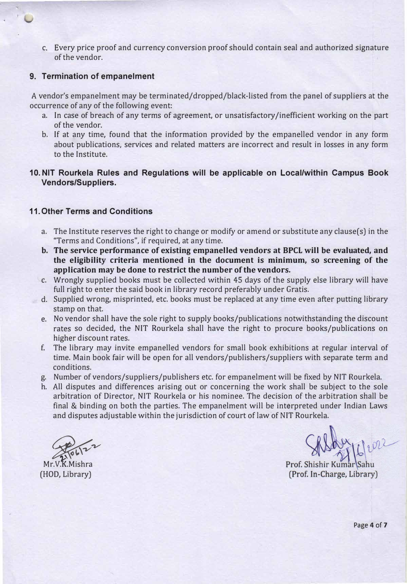c. Every price proof and currency conversion proof should contain seal and authorized signature of the vendor.

#### **9. Termination of empanelment**

A vendor's empanelment may be terminated/dropped/black-listed from the panel of suppliers at the occurrence of any of the following event:

- a. In case of breach of any terms of agreement, or unsatisfactory /inefficient working on the part of the vendor.
- b. If at any time, found that the information provided by the empanelled vendor in any form about publications, services and related matters are incorrect and result in losses in any form to the Institute.
- **10. NIT Rourkela Rules and Regulations will be applicable on Local/within Campus Book Vendors/Suppliers.**

#### **11. Other Terms and Conditions**

- a. The Institute reserves the right to change or modify or amend or substitute any clause(s) in the "Terms and Conditions", if required, at any time.
- **b. The service performance of existing empanelled vendors at BPCL will be evaluated, and the eligibility criteria mentioned in the document is minimum, so screening of the application may be done to restrict the number of the vendors.**
- c. Wrongly supplied books must be collected within 45 days of the supply else library will have full right to enter the said book in library record preferably under Gratis.
- d. Supplied wrong, misprinted, etc. books must be replaced at any time even after putting library stamp on that.
	- e. No vendor shall have the sole right to supply books/publications notwithstanding the discount rates so decided, the NIT Rourkela shall have the right to procure books/publications on higher discount rates.
	- f. The library may invite empanelled vendors for small book exhibitions at regular interval of time. Main book fair will be open for all vendors/publishers/suppliers with separate term and conditions.
	- g. Number of vendors/suppliers/publishers etc. for empanelment will be fixed by NIT Rourkela.
	- h. All disputes and differences arising out or concerning the work shall be subject to the sole arbitration of Director, NIT Rourkela or his nominee. The decision of the arbitration shall be final & binding on both the parties. The empanelment will be interpreted under Indian Laws and disputes adjustable within the jurisdiction of court of law of NIT Rourkela.

Mr.V.K.Mishra (HOD, Library)

Prof. Shishir Kumar Sahu (Prof. In-Charge, Library)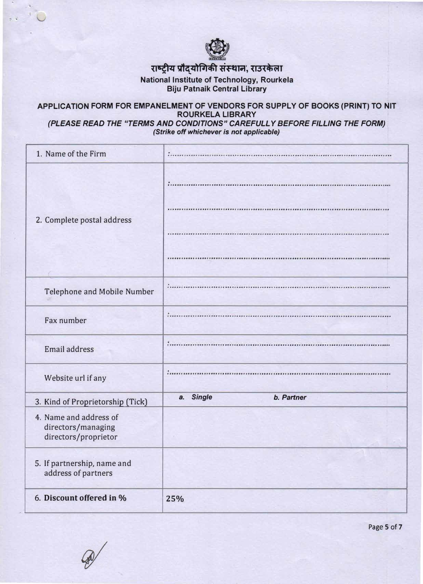

# ...<br>रा<mark>ष्ट्रीय प्रौद्योगिकी संस्थान, राउरकेला</mark>

**National Institute of Technology, Rourkela Biju Patnaik Central Library** 

## **APPLICATION FORM FOR EMPANELMENT OF VENDORS FOR SUPPLY OF BOOKS (PRINT) TO NIT ROURKELA LIBRARY**

*(PLEASE READ THE "TERMS AND CONDITIONS" CAREFULLY BEFORE FILLING THE FORM). (Strike off whichever is not applicable)* 

| 1. Name of the Firm                                                  |                                   |
|----------------------------------------------------------------------|-----------------------------------|
| 2. Complete postal address                                           |                                   |
|                                                                      |                                   |
|                                                                      |                                   |
| Telephone and Mobile Number                                          | .                                 |
| Fax number                                                           | $\mathcal{L}_{\text{max}}$        |
| Email address                                                        | 1.1.1                             |
| Website url if any                                                   | $\ddot{\phantom{a}}$              |
| 3. Kind of Proprietorship (Tick)                                     | <b>Single</b><br>b. Partner<br>a. |
| 4. Name and address of<br>directors/managing<br>directors/proprietor |                                   |
| 5. If partnership, name and<br>address of partners                   |                                   |
| 6. Discount offered in %                                             | 25%                               |

Page 5 of 7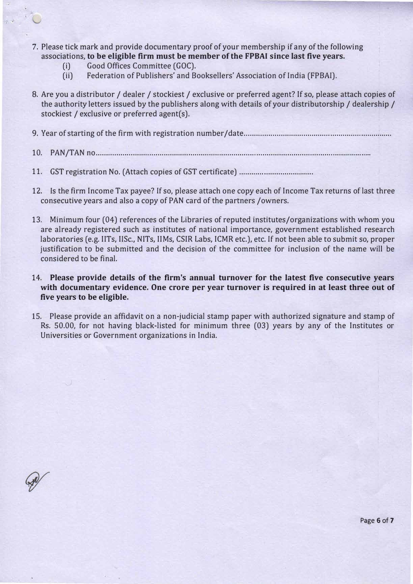- 7. Please tick mark and provide documentary proof of your membership if any of the following associations, **to be eligible firm must be member of the FPBAI since last five years.**
	- (i) Good Offices Committee (GOC).
	- (ii) Federation of Publishers' and Booksellers' Association of India (FPBAI).
- 8. Are you a distributor / dealer/ stockiest/ exclusive or preferred agent? If so, please attach copies of the authority letters issued by the publishers along with details of your distributorship/ dealership/ stockiest / exclusive or preferred agent(s).
- 9. Year of starting of the firm with registration number/date ....................................................................... .
- 10. PAN/TAN no ..................................................................................................................................... .
- 11. GST registration No. (Attach copies of GST certificate) ................................... .
- 12. ls the firm Income Tax payee? If so, please attach one copy each of Income Tax returns of last three consecutive years and also a copy of PAN card of the partners / owners.
- 13. Minimum four (04) references of the Libraries of reputed institutes/organizations with whom you are already registered such as institutes of national importance, government established research laboratories (e.g. IITs, IISc., NITs, IIMs, CSIR Labs, ICMR etc.), etc. If not been able to submit so, proper justification to be submitted and the decision of the committee for inclusion of the name will be considered to be final.

## **14. Please provide details of the firm's annual turnover for the latest five consecutive years with documentary evidence. One crore per year turnover is required in at least three out of five years to be eligible.**

15. Please provide an affidavit on a non-judicial stamp paper with authorized signature and stamp of Rs. 50.00, for not having black-listed for minimum three (03) years by any of the Institutes or Universities or Government organizations in India.